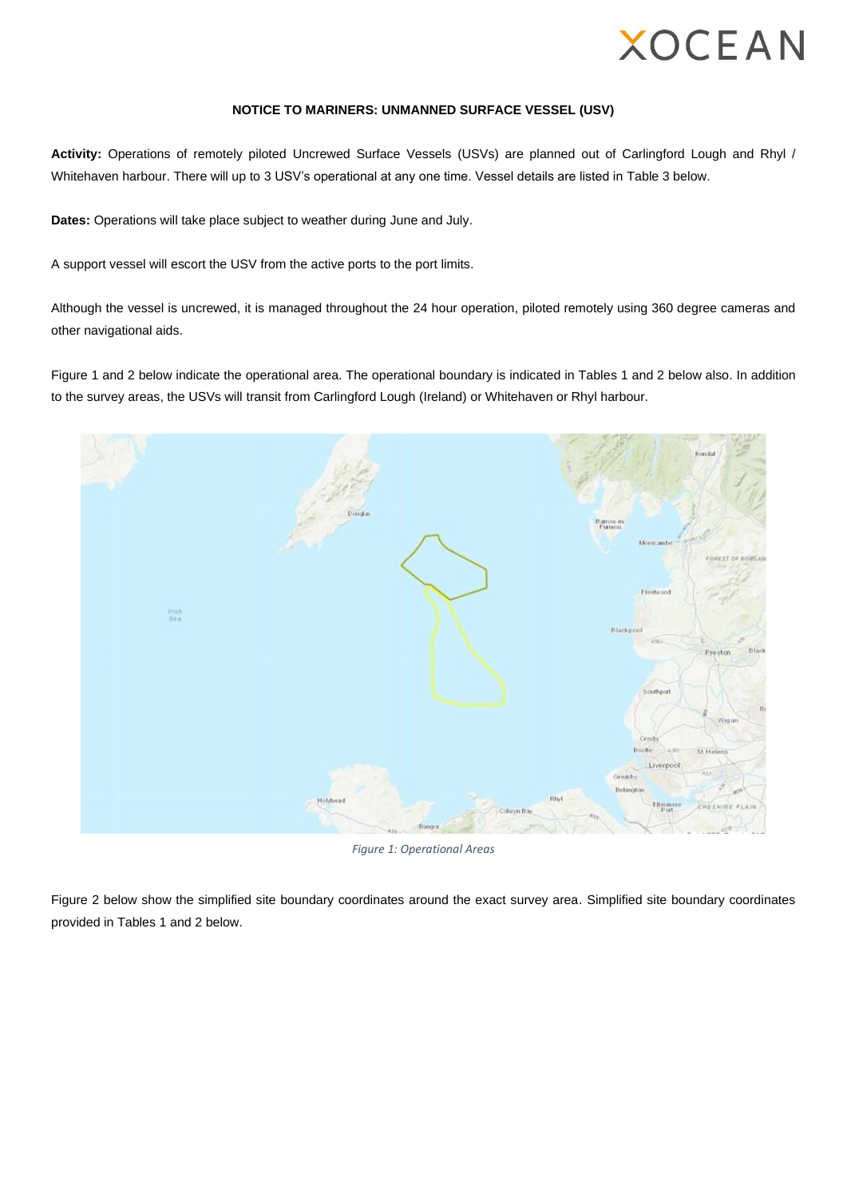

#### **NOTICE TO MARINERS: UNMANNED SURFACE VESSEL (USV)**

**Activity:** Operations of remotely piloted Uncrewed Surface Vessels (USVs) are planned out of Carlingford Lough and Rhyl / Whitehaven harbour. There will up to 3 USV's operational at any one time. Vessel details are listed in Table 3 below.

**Dates:** Operations will take place subject to weather during June and July.

A support vessel will escort the USV from the active ports to the port limits.

Although the vessel is uncrewed, it is managed throughout the 24 hour operation, piloted remotely using 360 degree cameras and other navigational aids.

[Figure 1](#page-0-0) and 2 below indicate the operational area. The operational boundary is indicated in Tables 1 and 2 below also. In addition to the survey areas, the USVs will transit from Carlingford Lough (Ireland) or Whitehaven or Rhyl harbour.



*Figure 1: Operational Areas*

<span id="page-0-0"></span>Figure 2 below show the simplified site boundary coordinates around the exact survey area. Simplified site boundary coordinates provided in Tables 1 and 2 below.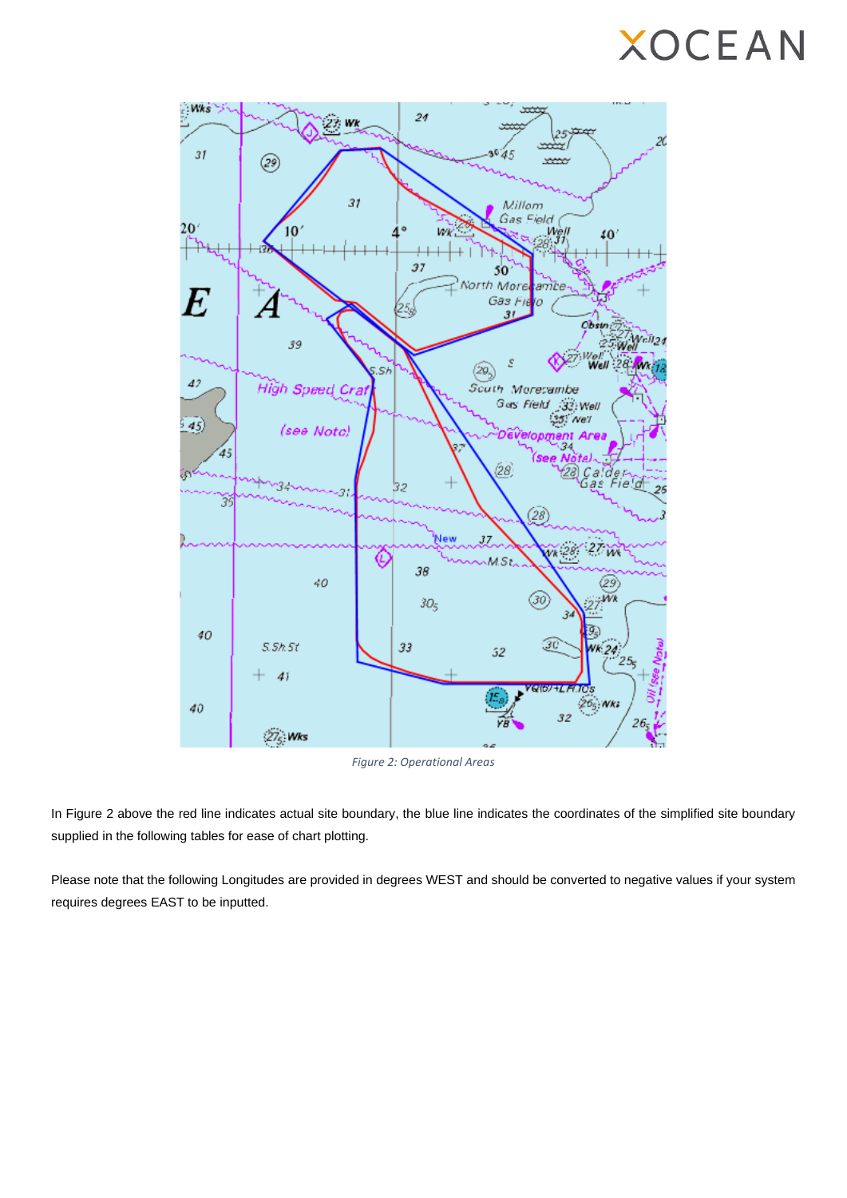

*Figure 2: Operational Areas*

In Figure 2 above the red line indicates actual site boundary, the blue line indicates the coordinates of the simplified site boundary supplied in the following tables for ease of chart plotting.

Please note that the following Longitudes are provided in degrees WEST and should be converted to negative values if your system requires degrees EAST to be inputted.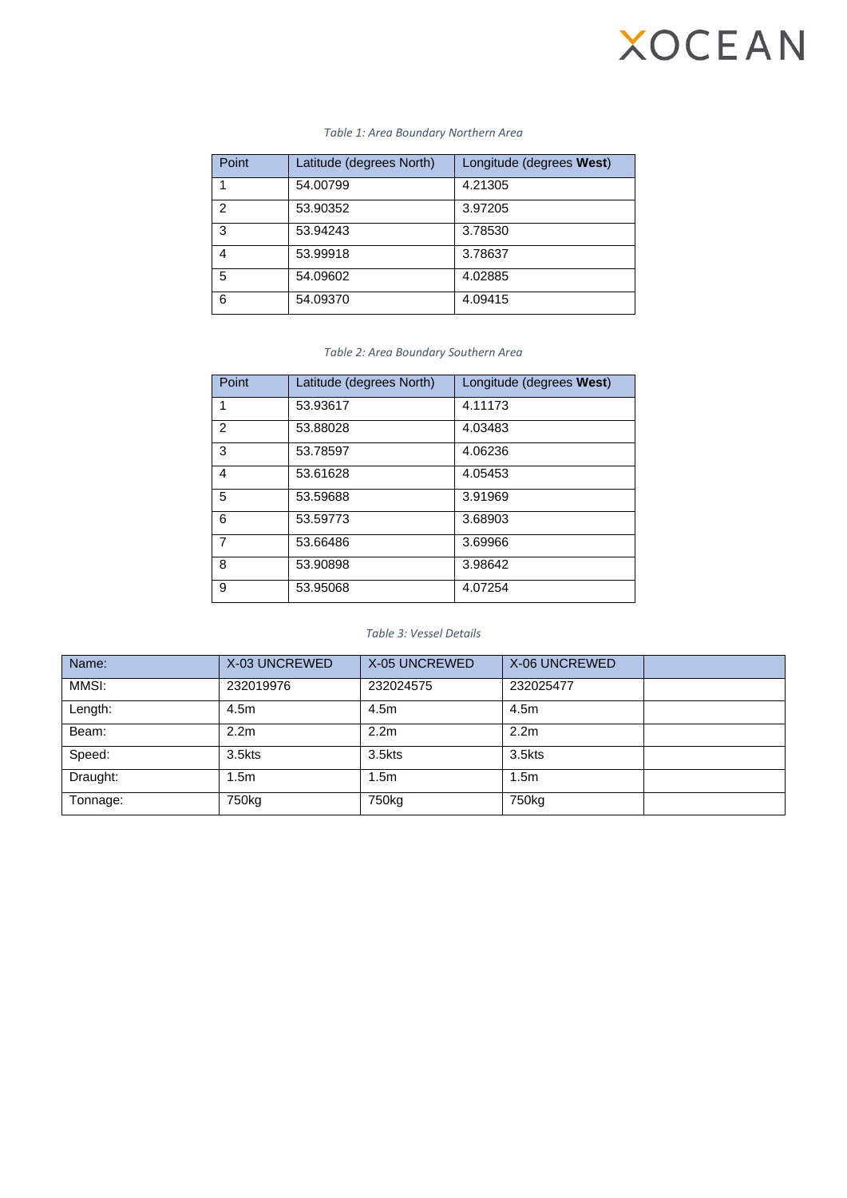| Point | Latitude (degrees North) | Longitude (degrees West) |
|-------|--------------------------|--------------------------|
|       | 54.00799                 | 4.21305                  |
| 2     | 53.90352                 | 3.97205                  |
| 3     | 53.94243                 | 3.78530                  |
| 4     | 53.99918                 | 3.78637                  |
| 5     | 54.09602                 | 4.02885                  |
| 6     | 54.09370                 | 4.09415                  |

#### *Table 1: Area Boundary Northern Area*

#### *Table 2: Area Boundary Southern Area*

| Point          | Latitude (degrees North) | Longitude (degrees West) |
|----------------|--------------------------|--------------------------|
| 1              | 53.93617                 | 4.11173                  |
| $\mathfrak{p}$ | 53.88028                 | 4.03483                  |
| 3              | 53.78597                 | 4.06236                  |
| 4              | 53.61628                 | 4.05453                  |
| 5              | 53.59688                 | 3.91969                  |
| 6              | 53.59773                 | 3.68903                  |
| $\overline{7}$ | 53.66486                 | 3.69966                  |
| 8              | 53.90898                 | 3.98642                  |
| 9              | 53.95068                 | 4.07254                  |

### *Table 3: Vessel Details*

| Name:    | X-03 UNCREWED     | X-05 UNCREWED     | X-06 UNCREWED     |  |
|----------|-------------------|-------------------|-------------------|--|
| MMSI:    | 232019976         | 232024575         | 232025477         |  |
| Length:  | 4.5m              | 4.5m              | 4.5m              |  |
| Beam:    | 2.2 <sub>m</sub>  | 2.2 <sub>m</sub>  | 2.2 <sub>m</sub>  |  |
| Speed:   | $3.5$ kts         | 3.5kts            | 3.5kts            |  |
| Draught: | 1.5m              | 1.5 <sub>m</sub>  | 1.5 <sub>m</sub>  |  |
| Tonnage: | 750 <sub>kg</sub> | 750 <sub>kg</sub> | 750 <sub>kg</sub> |  |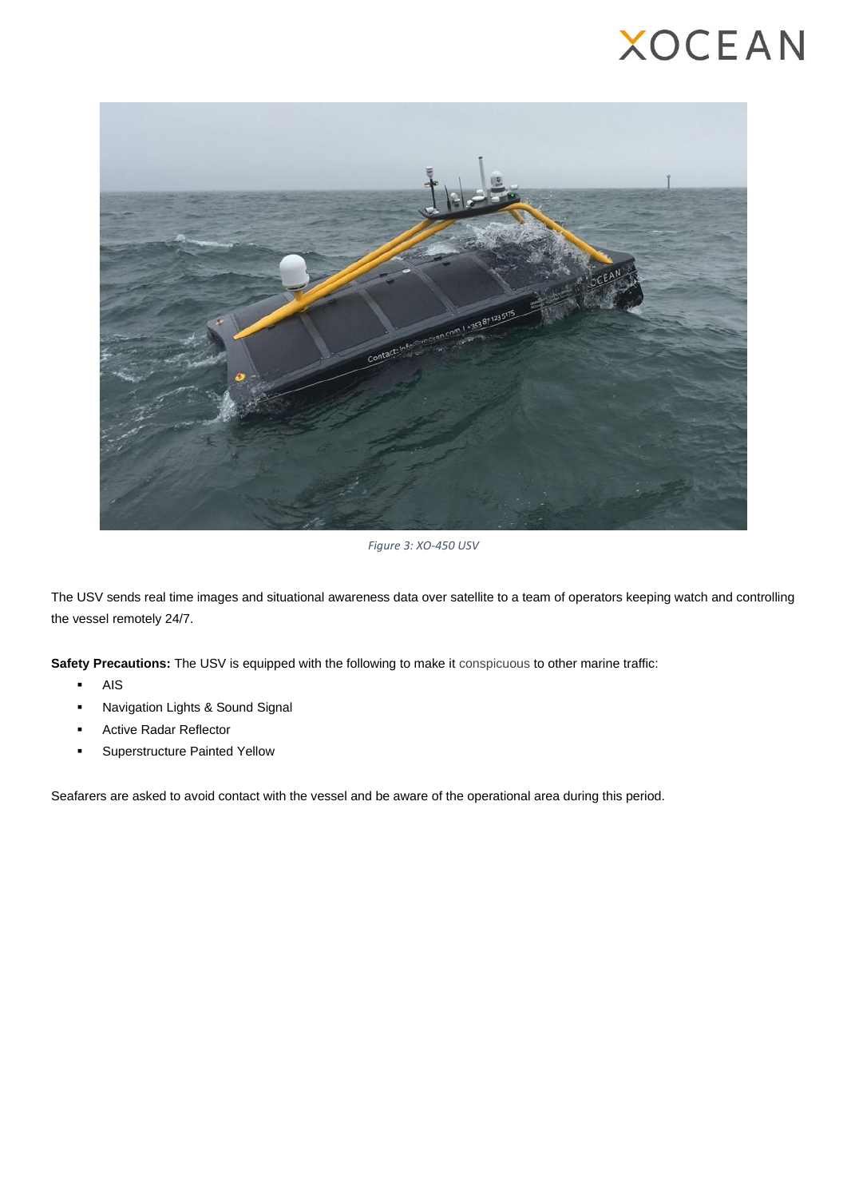

*Figure 3: XO-450 USV*

The USV sends real time images and situational awareness data over satellite to a team of operators keeping watch and controlling the vessel remotely 24/7.

**Safety Precautions:** The USV is equipped with the following to make it conspicuous to other marine traffic:

- **AIS**
- Navigation Lights & Sound Signal
- **Active Radar Reflector**
- Superstructure Painted Yellow

Seafarers are asked to avoid contact with the vessel and be aware of the operational area during this period.